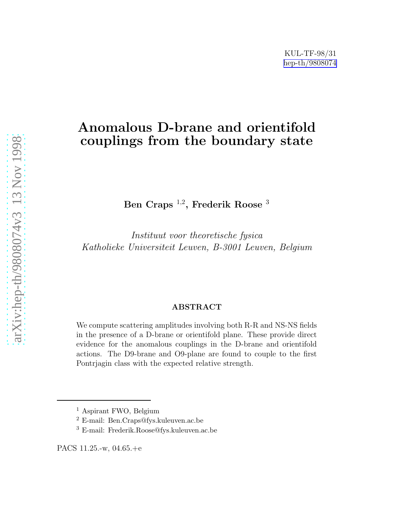## Anomalous D-brane and orientifold couplings from the boundary state

Ben Craps  $^{1,2}$ , Frederik Roose  $^3$ 

Instituut voor theoretische fysica Katholieke Universiteit Leuven, B-3001 Leuven, Belgium

#### ABSTRACT

We compute scattering amplitudes involving both R-R and NS-NS fields in the presence of a D-brane or orientifold plane. These provide direct evidence for the anomalous couplings in the D-brane and orientifold actions. The D9-brane and O9-plane are found to couple to the first Pontrjagin class with the expected relative strength.

<sup>&</sup>lt;sup>1</sup> Aspirant FWO, Belgium

<sup>2</sup> E-mail: Ben.Craps@fys.kuleuven.ac.be

<sup>3</sup> E-mail: Frederik.Roose@fys.kuleuven.ac.be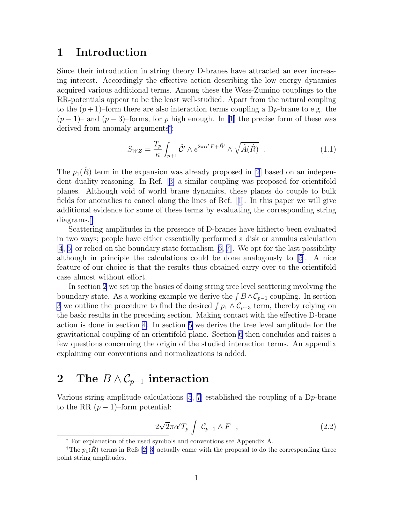#### <span id="page-1-0"></span>1 Introduction

Since their introduction in string theory D-branes have attracted an ever increasing interest. Accordingly the effective action describing the low energy dynamics acquired various additional terms. Among these the Wess-Zumino couplings to the RR-potentials appear to be the least well-studied. Apart from the natural coupling to the  $(p+1)$ –form there are also interaction terms coupling a D<sub>p</sub>-brane to e.g. the  $(p-1)$ – and  $(p-3)$ –forms, for p high enough. In [\[1](#page-12-0)] the precise form of these was derived from anomaly arguments<sup>∗</sup> :

$$
S_{WZ} = \frac{T_p}{\kappa} \int_{p+1} \hat{\mathcal{C}}' \wedge e^{2\pi \alpha' F + \hat{B}'} \wedge \sqrt{\hat{A}(\hat{R})} \quad . \tag{1.1}
$$

The  $p_1(\hat{R})$  term in the expansion was already proposed in [\[2](#page-12-0)] based on an independent duality reasoning. In Ref.[[3\]](#page-12-0) a similar coupling was proposed for orientifold planes. Although void of world brane dynamics, these planes do couple to bulk fields for anomalies to cancel along the lines of Ref.[[1\]](#page-12-0). In this paper we will give additional evidence for some of these terms by evaluating the corresponding string diagrams.†

Scattering amplitudes in the presence of D-branes have hitherto been evaluated in two ways; people have either essentially performed a disk or annulus calculation [\[4](#page-12-0), [5\]](#page-12-0) or relied on the boundary state formalism[[6, 7\]](#page-12-0). We opt for the last possibility although in principle the calculations could be done analogously to [\[5\]](#page-12-0). A nice feature of our choice is that the results thus obtained carry over to the orientifold case almost without effort.

In section 2 we set up the basics of doing string tree level scattering involving the boundary state. As a working example we derive the  $\int B \wedge C_{p-1}$  coupling. In section [3](#page-3-0) we outline the procedure to find the desired  $\int p_1 \wedge C_{p-3}$  term, thereby relying on the basic results in the preceding section. Making contact with the effective D-brane action is done in section [4](#page-5-0). In section [5](#page-6-0) we derive the tree level amplitude for the gravitational coupling of an orientifold plane. Section [6](#page-6-0) then concludes and raises a few questions concerning the origin of the studied interaction terms. An appendix explaining our conventions and normalizations is added.

## 2 The  $B \wedge C_{p-1}$  interaction

Various string amplitude calculations [\[5](#page-12-0), [7](#page-12-0)] established the coupling of a Dp-brane to the RR  $(p-1)$ –form potential:

$$
\frac{2\sqrt{2}\pi\alpha'T_p \int \mathcal{C}_{p-1} \wedge F \quad , \tag{2.2}
$$

<sup>∗</sup> For explanation of the used symbols and conventions see Appendix A.

<sup>&</sup>lt;sup>†</sup>The $p_1(\hat{R})$  terms in Refs [[2, 3\]](#page-12-0) actually came with the proposal to do the corresponding three point string amplitudes.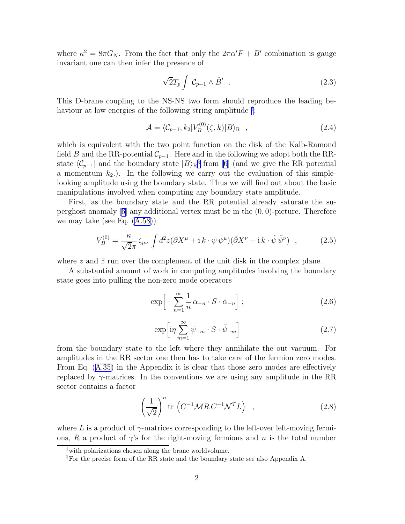<span id="page-2-0"></span>where  $\kappa^2 = 8\pi G_N$ . From the fact that only the  $2\pi\alpha'F + B'$  combination is gauge invariant one can then infer the presence of

$$
\sqrt{2}T_p \int \mathcal{C}_{p-1} \wedge \hat{B}' \quad . \tag{2.3}
$$

This D-brane coupling to the NS-NS two form should reproduce the leading behaviour at low energies of the following string amplitude <sup> $\ddagger$ </sup>:

$$
\mathcal{A} = \langle \mathcal{C}_{p-1}; k_2 | V_B^{(0)}(\zeta, k) | B \rangle_{\mathcal{R}} \quad , \tag{2.4}
$$

which is equivalent with the two point function on the disk of the Kalb-Ramond field B and the RR-potential  $\mathcal{C}_{p-1}$ . Here and in the following we adopt both the RRstate  $\langle \mathcal{C}_{p-1} |$  and the boundary state  $|B\rangle_{R}^{\S}$  from [\[6](#page-12-0)] (and we give the RR potential a momentum  $k_2$ .). In the following we carry out the evaluation of this simplelooking amplitude using the boundary state. Thus we will find out about the basic manipulations involved when computing any boundary state amplitude.

First, as the boundary state and the RR potential already saturate the superghostanomaly  $[6]$  $[6]$  any additional vertex must be in the  $(0, 0)$ -picture. Therefore we may take (see Eq.([A.58](#page-11-0)))

$$
V_B^{(0)} = \frac{\kappa}{\sqrt{2\pi}} \zeta_{\mu\nu} \int d^2z (\partial X^{\mu} + i k \cdot \psi \psi^{\mu}) (\bar{\partial} X^{\nu} + i k \cdot \tilde{\psi} \tilde{\psi}^{\nu}) , \qquad (2.5)
$$

where z and  $\bar{z}$  run over the complement of the unit disk in the complex plane.

A substantial amount of work in computing amplitudes involving the boundary state goes into pulling the non-zero mode operators

$$
\exp\left[-\sum_{n=1}^{\infty}\frac{1}{n}\alpha_{-n}\cdot S\cdot\tilde{\alpha}_{-n}\right];
$$
\n(2.6)

$$
\exp\left[i\eta \sum_{m=1}^{\infty} \psi_{-m} \cdot S \cdot \tilde{\psi}_{-m}\right]
$$
\n(2.7)

from the boundary state to the left where they annihilate the out vacuum. For amplitudes in the RR sector one then has to take care of the fermion zero modes. From Eq.([A.35\)](#page-9-0) in the Appendix it is clear that those zero modes are effectively replaced by  $\gamma$ -matrices. In the conventions we are using any amplitude in the RR sector contains a factor

$$
\left(\frac{1}{\sqrt{2}}\right)^n \text{tr}\left(C^{-1} \mathcal{M} R C^{-1} \mathcal{N}^T L\right) \quad , \tag{2.8}
$$

where L is a product of  $\gamma$ -matrices corresponding to the left-over left-moving fermions, R a product of  $\gamma$ 's for the right-moving fermions and n is the total number

<sup>‡</sup>with polarizations chosen along the brane worldvolume.

<sup>§</sup>For the precise form of the RR state and the boundary state see also Appendix A.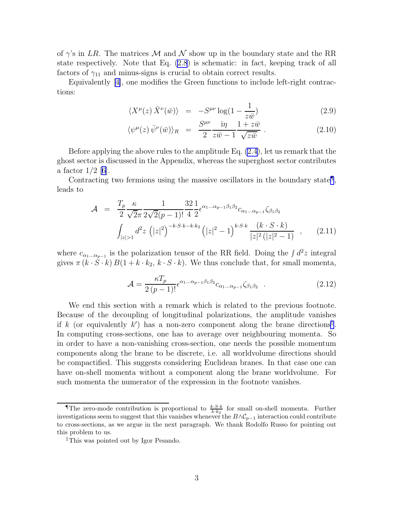<span id="page-3-0"></span>of  $\gamma$ 's in LR. The matrices M and N show up in the boundary state and the RR state respectively. Note that Eq. [\(2.8](#page-2-0)) is schematic: in fact, keeping track of all factors of  $\gamma_{11}$  and minus-signs is crucial to obtain correct results.

Equivalently[[4\]](#page-12-0), one modifies the Green functions to include left-right contractions:

$$
\langle X^{\mu}(z) \,\bar{X}^{\nu}(\bar{w}) \rangle = -S^{\mu\nu} \log(1 - \frac{1}{z\bar{w}}) \tag{2.9}
$$

$$
\langle \psi^{\mu}(z) \,\overline{\psi}^{\nu}(\overline{w}) \rangle_{R} = \frac{S^{\mu\nu}}{2} \frac{\mathrm{i}\eta}{z\overline{w} - 1} \frac{1 + z\overline{w}}{\sqrt{z\overline{w}}} \,. \tag{2.10}
$$

Before applying the above rules to the amplitude Eq. [\(2.4](#page-2-0)), let us remark that the ghost sector is discussed in the Appendix, whereas the superghost sector contributes a factor  $1/2$  [\[6\]](#page-12-0).

Contracting two fermions using the massive oscillators in the boundary state<sup>1</sup>, leads to

$$
\mathcal{A} = \frac{T_p \kappa}{2 \sqrt{2\pi} 2\sqrt{2}(p-1)!} \frac{32}{4} \frac{1}{2} \epsilon^{\alpha_1 \dots \alpha_{p-1} \beta_1 \beta_2} c_{\alpha_1 \dots \alpha_{p-1}} \zeta_{\beta_1 \beta_2}
$$

$$
\int_{|z|>1} d^2 z \left( |z|^2 \right)^{-k \cdot S \cdot k - k \cdot k_2} \left( |z|^2 - 1 \right)^{k \cdot S \cdot k} \frac{(k \cdot S \cdot k)}{|z|^2 (|z|^2 - 1)}, \qquad (2.11)
$$

where  $c_{\alpha_1...\alpha_{p-1}}$  is the polarization tensor of the RR field. Doing the  $\int d^2z$  integral gives  $\pi (k \cdot \hat{S} \cdot k) B(1 + k \cdot k_2, k \cdot S \cdot k)$ . We thus conclude that, for small momenta,

$$
\mathcal{A} = \frac{\kappa T_p}{2(p-1)!} \epsilon^{\alpha_1 \dots \alpha_{p-1} \beta_1 \beta_2} c_{\alpha_1 \dots \alpha_{p-1}} \zeta_{\beta_1 \beta_2} . \tag{2.12}
$$

We end this section with a remark which is related to the previous footnote. Because of the decoupling of longitudinal polarizations, the amplitude vanishes if k (or equivalently k') has a non-zero component along the brane directions<sup>||</sup>. In computing cross-sections, one has to average over neighbouring momenta. So in order to have a non-vanishing cross-section, one needs the possible momentum components along the brane to be discrete, i.e. all worldvolume directions should be compactified. This suggests considering Euclidean branes. In that case one can have on-shell momenta without a component along the brane worldvolume. For such momenta the numerator of the expression in the footnote vanishes.

The zero-mode contribution is proportional to  $\frac{k \cdot S \cdot k}{k \cdot k_2}$  for small on-shell momenta. Further investigations seem to suggest that this vanishes whenever the  $B \wedge C_{p-1}$  interaction could contribute to cross-sections, as we argue in the next paragraph. We thank Rodolfo Russo for pointing out this problem to us.

This was pointed out by Igor Pesando.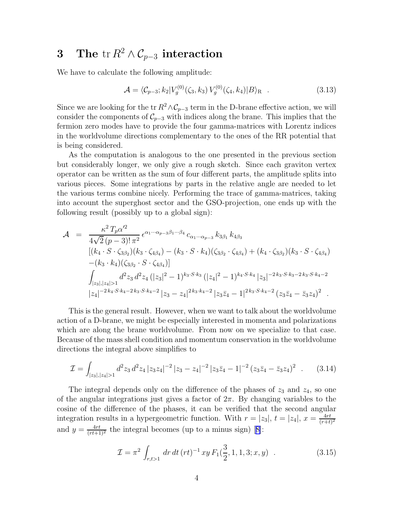# <span id="page-4-0"></span>3 The tr  $R^2 \wedge C_{p-3}$  interaction

We have to calculate the following amplitude:

$$
\mathcal{A} = \langle \mathcal{C}_{p-3}; k_2 | V_g^{(0)}(\zeta_3, k_3) V_g^{(0)}(\zeta_4, k_4) | B \rangle_R . \tag{3.13}
$$

Since we are looking for the tr  $R^2 \wedge C_{p-3}$  term in the D-brane effective action, we will consider the components of  $\mathcal{C}_{p-3}$  with indices along the brane. This implies that the fermion zero modes have to provide the four gamma-matrices with Lorentz indices in the worldvolume directions complementary to the ones of the RR potential that is being considered.

As the computation is analogous to the one presented in the previous section but considerably longer, we only give a rough sketch. Since each graviton vertex operator can be written as the sum of four different parts, the amplitude splits into various pieces. Some integrations by parts in the relative angle are needed to let the various terms combine nicely. Performing the trace of gamma-matrices, taking into account the superghost sector and the GSO-projection, one ends up with the following result (possibly up to a global sign):

$$
\mathcal{A} = \frac{\kappa^2 T_p \alpha'^2}{4\sqrt{2} (p-3)! \pi^2} \epsilon^{\alpha_1 \cdots \alpha_{p-3} \beta_1 \cdots \beta_4} c_{\alpha_1 \cdots \alpha_{p-3}} k_{3\beta_1} k_{4\beta_3}
$$
  
\n
$$
[(k_4 \cdot S \cdot \zeta_{3\beta_2})(k_3 \cdot \zeta_{4\beta_4}) - (k_3 \cdot S \cdot k_4)(\zeta_{3\beta_2} \cdot \zeta_{4\beta_4}) + (k_4 \cdot \zeta_{3\beta_2})(k_3 \cdot S \cdot \zeta_{4\beta_4})
$$
  
\n
$$
-(k_3 \cdot k_4)(\zeta_{3\beta_2} \cdot S \cdot \zeta_{4\beta_4})]
$$
  
\n
$$
\int_{|z_3|, |z_4| > 1} d^2 z_3 d^2 z_4 (|z_3|^2 - 1)^{k_3 \cdot S \cdot k_3} (|z_4|^2 - 1)^{k_4 \cdot S \cdot k_4} |z_3|^{-2k_3 \cdot S \cdot k_3 - 2k_3 \cdot S \cdot k_4 - 2}
$$
  
\n
$$
|z_4|^{-2k_4 \cdot S \cdot k_4 - 2k_3 \cdot S \cdot k_4 - 2} |z_3 - z_4|^{2k_3 \cdot k_4 - 2} |z_3 \overline{z}_4 - 1|^{2k_3 \cdot S \cdot k_4 - 2} (z_3 \overline{z}_4 - \overline{z}_3 z_4)^2
$$

This is the general result. However, when we want to talk about the worldvolume action of a D-brane, we might be especially interested in momenta and polarizations which are along the brane worldvolume. From now on we specialize to that case. Because of the mass shell condition and momentum conservation in the worldvolume directions the integral above simplifies to

$$
\mathcal{I} = \int_{|z_3|, |z_4| > 1} d^2 z_3 \, d^2 z_4 \, |z_3 z_4|^{-2} \, |z_3 - z_4|^{-2} \, |z_3 \bar{z}_4 - 1|^{-2} \, (z_3 \bar{z}_4 - \bar{z}_3 z_4)^2 \quad . \tag{3.14}
$$

The integral depends only on the difference of the phases of  $z_3$  and  $z_4$ , so one of the angular integrations just gives a factor of  $2\pi$ . By changing variables to the cosine of the difference of the phases, it can be verified that the second angular integration results in a hypergeometric function. With  $r = |z_3|$ ,  $t = |z_4|$ ,  $x = \frac{4rt}{(r+t)}$  $(r+t)^2$ and $y = \frac{4rt}{(rt+1)^2}$  the integral becomes (up to a minus sign) [[8\]](#page-12-0):

$$
\mathcal{I} = \pi^2 \int_{r,t>1} dr \, dt \, (rt)^{-1} \, xy \, F_1(\frac{3}{2}, 1, 1, 3; x, y) \quad . \tag{3.15}
$$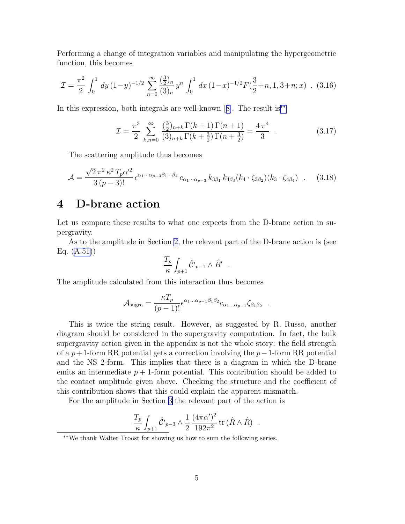<span id="page-5-0"></span>Performing a change of integration variables and manipulating the hypergeometric function, this becomes

$$
\mathcal{I} = \frac{\pi^2}{2} \int_0^1 dy \, (1-y)^{-1/2} \sum_{n=0}^\infty \frac{\left(\frac{3}{2}\right)_n}{(3)_n} y^n \int_0^1 dx \, (1-x)^{-1/2} F\left(\frac{3}{2}+n, 1, 3+n; x\right) \quad (3.16)
$$

In this expression, both integrals are well-known[[8\]](#page-12-0). The result is∗∗

$$
\mathcal{I} = \frac{\pi^3}{2} \sum_{k,n=0}^{\infty} \frac{\left(\frac{3}{2}\right)_{n+k} \Gamma(k+1) \Gamma(n+1)}{\left(3\right)_{n+k} \Gamma(k+\frac{3}{2}) \Gamma(n+\frac{3}{2})} = \frac{4 \pi^4}{3} \quad . \tag{3.17}
$$

.

.

The scattering amplitude thus becomes

$$
\mathcal{A} = \frac{\sqrt{2} \pi^2 \kappa^2 T_p \alpha'^2}{3 (p-3)!} \epsilon^{\alpha_1 \cdots \alpha_{p-3} \beta_1 \cdots \beta_4} c_{\alpha_1 \cdots \alpha_{p-3}} k_{3\beta_1} k_{4\beta_3} (k_4 \cdot \zeta_{3\beta_2}) (k_3 \cdot \zeta_{4\beta_4}) \quad . \tag{3.18}
$$

## 4 D-brane action

Let us compare these results to what one expects from the D-brane action in supergravity.

As to the amplitude in Section [2](#page-1-0), the relevant part of the D-brane action is (see Eq. [\(A.51\)](#page-10-0))

$$
\frac{T_p}{\kappa}\int_{p+1}\hat{\cal C'}_{p-1}\wedge\hat{B'}\qquad
$$

The amplitude calculated from this interaction thus becomes

$$
\mathcal{A}_{\text{sugra}} = \frac{\kappa T_p}{(p-1)!} \epsilon^{\alpha_1 \dots \alpha_{p-1} \beta_1 \beta_2} c_{\alpha_1 \dots \alpha_{p-1}} \zeta_{\beta_1 \beta_2}
$$

This is twice the string result. However, as suggested by R. Russo, another diagram should be considered in the supergravity computation. In fact, the bulk supergravity action given in the appendix is not the whole story: the field strength of a  $p+1$ -form RR potential gets a correction involving the  $p-1$ -form RR potential and the NS 2-form. This implies that there is a diagram in which the D-brane emits an intermediate  $p + 1$ -form potential. This contribution should be added to the contact amplitude given above. Checking the structure and the coefficient of this contribution shows that this could explain the apparent mismatch.

For the amplitude in Section [3](#page-3-0) the relevant part of the action is

$$
\frac{T_p}{\kappa} \int_{p+1} \hat{\mathcal{C}}'_{p-3} \wedge \frac{1}{2} \frac{(4\pi\alpha')^2}{192\pi^2} \operatorname{tr}(\hat{R} \wedge \hat{R}) .
$$

<sup>∗∗</sup>We thank Walter Troost for showing us how to sum the following series.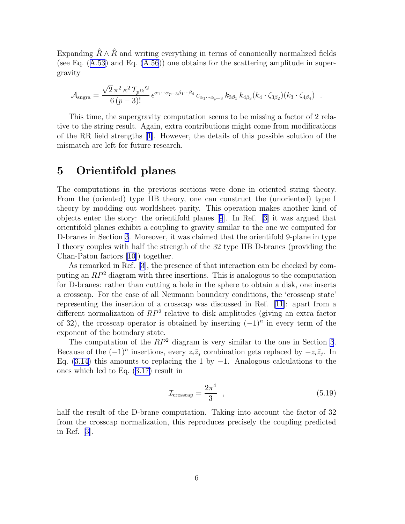<span id="page-6-0"></span>Expanding  $\ddot{R} \wedge \ddot{R}$  and writing everything in terms of canonically normalized fields (seeEq.  $(A.53)$  $(A.53)$  $(A.53)$  and Eq.  $(A.56)$ ) one obtains for the scattering amplitude in supergravity

$$
\mathcal{A}_{\text{sugra}} = \frac{\sqrt{2} \pi^2 \kappa^2 T_p \alpha'^2}{6 (p-3)!} \epsilon^{\alpha_1 \cdots \alpha_{p-3} \beta_1 \cdots \beta_4} c_{\alpha_1 \cdots \alpha_{p-3}} k_{3\beta_1} k_{4\beta_3} (k_4 \cdot \zeta_{3\beta_2}) (k_3 \cdot \zeta_{4\beta_4}) \quad .
$$

This time, the supergravity computation seems to be missing a factor of 2 relative to the string result. Again, extra contributions might come from modifications of the RR field strengths[[1\]](#page-12-0). However, the details of this possible solution of the mismatch are left for future research.

#### 5 Orientifold planes

The computations in the previous sections were done in oriented string theory. From the (oriented) type IIB theory, one can construct the (unoriented) type I theory by modding out worldsheet parity. This operation makes another kind of objects enter the story: the orientifold planes[[9](#page-12-0)]. In Ref. [\[3](#page-12-0)] it was argued that orientifold planes exhibit a coupling to gravity similar to the one we computed for D-branes in Section [3.](#page-3-0) Moreover, it was claimed that the orientifold 9-plane in type I theory couples with half the strength of the 32 type IIB D-branes (providing the Chan-Paton factors [\[10\]](#page-12-0)) together.

As remarked in Ref.[[3\]](#page-12-0), the presence of that interaction can be checked by computing an  $RP^2$  diagram with three insertions. This is analogous to the computation for D-branes: rather than cutting a hole in the sphere to obtain a disk, one inserts a crosscap. For the case of all Neumann boundary conditions, the 'crosscap state' representing the insertion of a crosscap was discussed in Ref.[[11\]](#page-12-0): apart from a different normalization of  $RP^2$  relative to disk amplitudes (giving an extra factor of 32), the crosscap operator is obtained by inserting  $(-1)^n$  in every term of the exponent of the boundary state.

The computation of the  $RP^2$  diagram is very similar to the one in Section [3](#page-3-0). Because of the  $(-1)^n$  insertions, every  $z_i\bar{z}_j$  combination gets replaced by  $-z_i\bar{z}_j$ . In Eq.([3.14\)](#page-4-0) this amounts to replacing the 1 by  $-1$ . Analogous calculations to the ones which led to Eq.([3.17\)](#page-5-0) result in

$$
\mathcal{I}_{\text{crosscap}} = \frac{2\pi^4}{3} \quad , \tag{5.19}
$$

half the result of the D-brane computation. Taking into account the factor of 32 from the crosscap normalization, this reproduces precisely the coupling predicted in Ref.[[3\]](#page-12-0).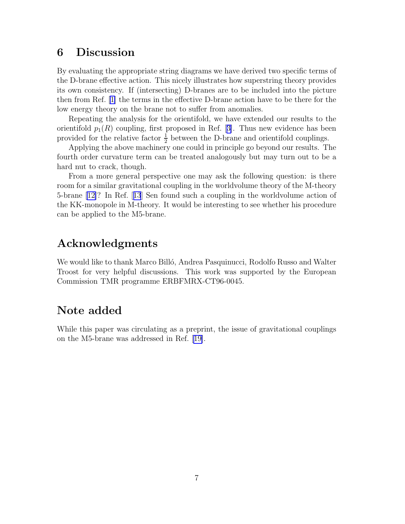### 6 Discussion

By evaluating the appropriate string diagrams we have derived two specific terms of the D-brane effective action. This nicely illustrates how superstring theory provides its own consistency. If (intersecting) D-branes are to be included into the picture then from Ref. [\[1\]](#page-12-0) the terms in the effective D-brane action have to be there for the low energy theory on the brane not to suffer from anomalies.

Repeating the analysis for the orientifold, we have extended our results to the orientifold $p_1(R)$  coupling, first proposed in Ref. [[3\]](#page-12-0). Thus new evidence has been provided for the relative factor  $\frac{1}{2}$  between the D-brane and orientifold couplings.

Applying the above machinery one could in principle go beyond our results. The fourth order curvature term can be treated analogously but may turn out to be a hard nut to crack, though.

From a more general perspective one may ask the following question: is there room for a similar gravitational coupling in the worldvolume theory of the M-theory 5-brane [\[12\]](#page-12-0)? In Ref.[[13](#page-13-0)] Sen found such a coupling in the worldvolume action of the KK-monopole in M-theory. It would be interesting to see whether his procedure can be applied to the M5-brane.

## Acknowledgments

We would like to thank Marco Billó, Andrea Pasquinucci, Rodolfo Russo and Walter Troost for very helpful discussions. This work was supported by the European Commission TMR programme ERBFMRX-CT96-0045.

## Note added

While this paper was circulating as a preprint, the issue of gravitational couplings on the M5-brane was addressed in Ref. [\[19\]](#page-13-0).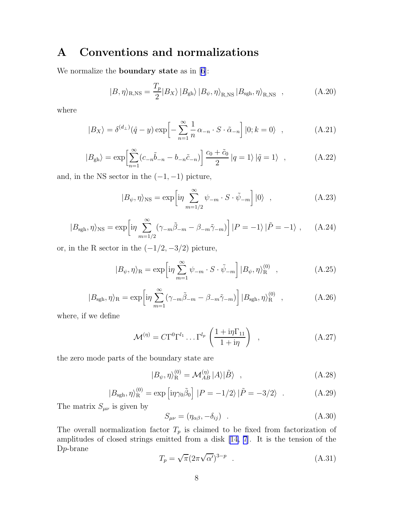## A Conventions and normalizations

We normalize the **boundary state** as in  $[6]$ :

$$
|B,\eta\rangle_{\text{R,NS}} = \frac{T_p}{2}|B_X\rangle|B_{\text{gh}}\rangle|B_{\psi},\eta\rangle_{\text{R,NS}}|B_{\text{sgh}},\eta\rangle_{\text{R,NS}} ,\qquad (A.20)
$$

where

$$
|B_X\rangle = \delta^{(d_\perp)}(\hat{q} - y) \exp\left[-\sum_{n=1}^{\infty} \frac{1}{n} \alpha_{-n} \cdot S \cdot \tilde{\alpha}_{-n}\right] |0; k = 0\rangle , \qquad (A.21)
$$

$$
|B_{\text{gh}}\rangle = \exp\left[\sum_{n=1}^{\infty} (c_{-n}\tilde{b}_{-n} - b_{-n}\tilde{c}_{-n})\right] \frac{c_0 + \tilde{c}_0}{2} |q = 1\rangle |\tilde{q} = 1\rangle , \qquad (A.22)
$$

and, in the NS sector in the  $(-1, -1)$  picture,

$$
|B_{\psi}, \eta \rangle_{\text{NS}} = \exp \left[ i\eta \sum_{m=1/2}^{\infty} \psi_{-m} \cdot S \cdot \tilde{\psi}_{-m} \right] |0\rangle , \qquad (A.23)
$$

$$
|B_{\text{sgh}}, \eta \rangle_{\text{NS}} = \exp \left[ i \eta \sum_{m=1/2}^{\infty} (\gamma_{-m} \tilde{\beta}_{-m} - \beta_{-m} \tilde{\gamma}_{-m}) \right] |P = -1\rangle |\tilde{P} = -1\rangle , \quad (A.24)
$$

or, in the R sector in the  $(-1/2, -3/2)$  picture,

$$
|B_{\psi}, \eta \rangle_{\mathcal{R}} = \exp \left[ i\eta \sum_{m=1}^{\infty} \psi_{-m} \cdot S \cdot \tilde{\psi}_{-m} \right] |B_{\psi}, \eta \rangle_{\mathcal{R}}^{(0)} , \qquad (A.25)
$$

$$
|B_{\text{sgh}}, \eta \rangle_{\text{R}} = \exp \left[ i\eta \sum_{m=1}^{\infty} (\gamma_{-m}\tilde{\beta}_{-m} - \beta_{-m}\tilde{\gamma}_{-m}) \right] |B_{\text{sgh}}, \eta \rangle_{\text{R}}^{(0)} , \qquad (A.26)
$$

where, if we define

$$
\mathcal{M}^{(\eta)} = C\Gamma^0\Gamma^{l_1}\dots\Gamma^{l_p}\left(\frac{1+i\eta\Gamma_{11}}{1+i\eta}\right) ,\qquad (A.27)
$$

the zero mode parts of the boundary state are

$$
|B_{\psi}, \eta \rangle_{\mathcal{R}}^{(0)} = \mathcal{M}_{AB}^{(\eta)} |A\rangle |\tilde{B}\rangle \quad , \tag{A.28}
$$

$$
|B_{\text{sgh}}, \eta \rangle_{\text{R}}^{(0)} = \exp\left[i\eta \gamma_0 \tilde{\beta}_0\right] |P = -1/2\rangle |\tilde{P} = -3/2\rangle . \tag{A.29}
$$

The matrix  $S_{\mu\nu}$  is given by

$$
S_{\mu\nu} = (\eta_{\alpha\beta}, -\delta_{ij}) \quad . \tag{A.30}
$$

The overall normalization factor  $T_p$  is claimed to be fixed from factorization of amplitudes of closed strings emitted from a disk [\[14,](#page-13-0) [7\]](#page-12-0). It is the tension of the Dp-brane

$$
T_p = \sqrt{\pi} (2\pi \sqrt{\alpha'})^{3-p} \quad . \tag{A.31}
$$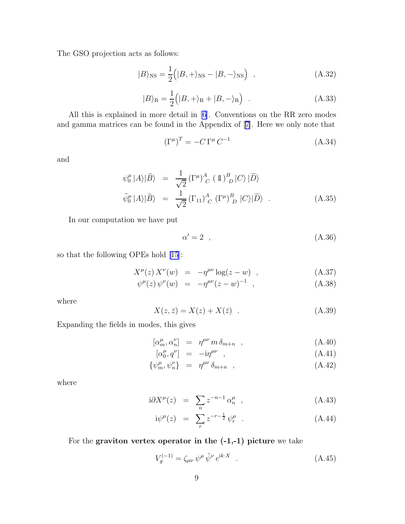<span id="page-9-0"></span>The GSO projection acts as follows:

$$
|B\rangle_{\rm NS} = \frac{1}{2} \left( |B, +\rangle_{\rm NS} - |B, -\rangle_{\rm NS} \right) , \qquad (A.32)
$$

$$
|B\rangle_{\mathcal{R}} = \frac{1}{2} (|B, +\rangle_{\mathcal{R}} + |B, -\rangle_{\mathcal{R}})
$$
 (A.33)

All this is explained in more detail in [\[6\]](#page-12-0). Conventions on the RR zero modes and gamma matrices can be found in the Appendix of [\[7\]](#page-12-0). Here we only note that

$$
\left(\Gamma^{\mu}\right)^{T} = -C\,\Gamma^{\mu}\,C^{-1} \tag{A.34}
$$

and

$$
\psi_0^{\mu} |A\rangle |\tilde{B}\rangle = \frac{1}{\sqrt{2}} (\Gamma^{\mu})^A_C (1 \Gamma^B_D |C\rangle |\tilde{D}\rangle
$$
  

$$
\tilde{\psi}_0^{\mu} |A\rangle |\tilde{B}\rangle = \frac{1}{\sqrt{2}} (\Gamma_{11})^A_C (\Gamma^{\mu})^B_D |C\rangle |\tilde{D}\rangle .
$$
 (A.35)

In our computation we have put

$$
\alpha' = 2 \quad , \tag{A.36}
$$

so that the following OPEs hold [\[15](#page-13-0)]:

$$
X^{\mu}(z) X^{\nu}(w) = -\eta^{\mu\nu} \log(z - w) , \qquad (A.37)
$$

$$
\psi^{\mu}(z)\,\psi^{\nu}(w) = -\eta^{\mu\nu}(z-w)^{-1} \quad , \tag{A.38}
$$

where

$$
X(z,\bar{z}) = X(z) + X(\bar{z}) \quad . \tag{A.39}
$$

Expanding the fields in modes, this gives

$$
[\alpha_m^{\mu}, \alpha_n^{\nu}] = \eta^{\mu\nu} m \delta_{m+n} , \qquad (A.40)
$$

$$
\left[\alpha_0^{\mu}, q^{\nu}\right] = -i\eta^{\mu\nu} \quad , \tag{A.41}
$$

$$
\{\psi_m^{\mu}, \psi_n^{\nu}\} = \eta^{\mu\nu} \delta_{m+n} , \qquad (A.42)
$$

where

$$
i\partial X^{\mu}(z) = \sum_{n} z^{-n-1} \alpha_n^{\mu} , \qquad (A.43)
$$

$$
i\psi^{\mu}(z) = \sum_{r} z^{-r - \frac{1}{2}} \psi^{\mu}_{r} . \qquad (A.44)
$$

For the graviton vertex operator in the  $(-1,-1)$  picture we take

$$
V_g^{(-1)} = \zeta_{\mu\nu} \psi^{\mu} \tilde{\psi}^{\nu} e^{ik \cdot X} \quad . \tag{A.45}
$$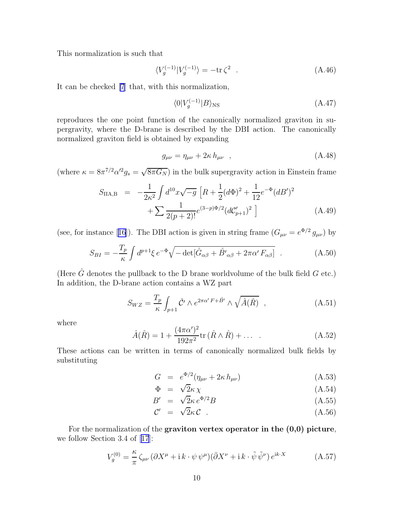<span id="page-10-0"></span>This normalization is such that

$$
\langle V_g^{(-1)} | V_g^{(-1)} \rangle = -\text{tr}\,\zeta^2 \quad . \tag{A.46}
$$

It can be checked [\[7](#page-12-0)] that, with this normalization,

$$
\langle 0|V_g^{(-1)}|B\rangle_{\rm NS} \tag{A.47}
$$

reproduces the one point function of the canonically normalized graviton in supergravity, where the D-brane is described by the DBI action. The canonically normalized graviton field is obtained by expanding

$$
g_{\mu\nu} = \eta_{\mu\nu} + 2\kappa h_{\mu\nu} \quad , \tag{A.48}
$$

(where  $\kappa = 8\pi^{7/2}\alpha'^2 g_s = \sqrt{8\pi G_N}$ ) in the bulk supergravity action in Einstein frame

$$
S_{\text{IIA,B}} = -\frac{1}{2\kappa^2} \int d^{10}x \sqrt{-g} \left[ R + \frac{1}{2} (d\Phi)^2 + \frac{1}{12} e^{-\Phi} (dB')^2 + \sum \frac{1}{2(p+2)!} e^{(3-p)\Phi/2} (dC'_{p+1})^2 \right]
$$
(A.49)

(see,for instance [[16](#page-13-0)]). The DBI action is given in string frame  $(G_{\mu\nu} = e^{\Phi/2} g_{\mu\nu})$  by

$$
S_{BI} = -\frac{T_p}{\kappa} \int d^{p+1}\xi \, e^{-\Phi} \sqrt{-\det[\hat{G}_{\alpha\beta} + \hat{B'}_{\alpha\beta} + 2\pi\alpha' F_{\alpha\beta}]} \quad . \tag{A.50}
$$

(Here  $\hat{G}$  denotes the pullback to the D brane worldvolume of the bulk field  $G$  etc.) In addition, the D-brane action contains a WZ part

$$
S_{WZ} = \frac{T_p}{\kappa} \int_{p+1} \hat{\mathcal{C}}' \wedge e^{2\pi \alpha' F + \hat{B}'} \wedge \sqrt{\hat{A}(\hat{R})} , \qquad (A.51)
$$

where

$$
\hat{A}(\hat{R}) = 1 + \frac{(4\pi\alpha')^2}{192\pi^2} \text{tr}\left(\hat{R} \wedge \hat{R}\right) + \dots \quad . \tag{A.52}
$$

These actions can be written in terms of canonically normalized bulk fields by substituting

$$
G = e^{\Phi/2}(\eta_{\mu\nu} + 2\kappa h_{\mu\nu})
$$
 (A.53)

$$
\Phi = \sqrt{2\kappa \chi} \tag{A.54}
$$

$$
B' = \sqrt{2\kappa} e^{\Phi/2} B \tag{A.55}
$$

$$
\mathcal{C}' = \sqrt{2\kappa} \mathcal{C} \tag{A.56}
$$

For the normalization of the graviton vertex operator in the  $(0,0)$  picture, we follow Section 3.4 of[[17](#page-13-0)]:

$$
V_g^{(0)} = \frac{\kappa}{\pi} \zeta_{\mu\nu} (\partial X^{\mu} + i k \cdot \psi \psi^{\mu}) (\bar{\partial} X^{\nu} + i k \cdot \tilde{\psi} \tilde{\psi}^{\nu}) e^{ik \cdot X}
$$
 (A.57)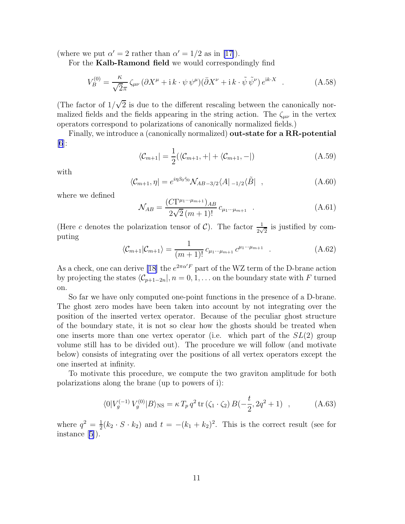<span id="page-11-0"></span>(where we put  $\alpha' = 2$  rather than  $\alpha' = 1/2$  as in [\[17\]](#page-13-0)).

For the Kalb-Ramond field we would correspondingly find

$$
V_B^{(0)} = \frac{\kappa}{\sqrt{2\pi}} \zeta_{\mu\nu} (\partial X^{\mu} + i k \cdot \psi \psi^{\mu}) (\bar{\partial} X^{\nu} + i k \cdot \tilde{\psi} \tilde{\psi}^{\nu}) e^{ik \cdot X} . \tag{A.58}
$$

(The factor of  $1/\sqrt{2}$  is due to the different rescaling between the canonically normalized fields and the fields appearing in the string action. The  $\zeta_{\mu\nu}$  in the vertex operators correspond to polarizations of canonically normalized fields.)

Finally, we introduce a (canonically normalized) out-state for a RR-potential  $|6|$ :

$$
\langle \mathcal{C}_{m+1} | = \frac{1}{2} (\langle \mathcal{C}_{m+1}, + | + \langle \mathcal{C}_{m+1}, - |) \rangle
$$
 (A.59)

with

$$
\langle \mathcal{C}_{m+1}, \eta | = e^{i\eta \beta_0 \tilde{\gamma}_0} \mathcal{N}_{AB-3/2} \langle A |_{-1/2} \langle \tilde{B} | \quad , \tag{A.60}
$$

where we defined

$$
\mathcal{N}_{AB} = \frac{(C\Gamma^{\mu_1\cdots\mu_{m+1}})_{AB}}{2\sqrt{2}(m+1)!} c_{\mu_1\cdots\mu_{m+1}} \quad . \tag{A.61}
$$

(Here c denotes the polarization tensor of C). The factor  $\frac{1}{2\sqrt{2}}$  is justified by computing

$$
\langle \mathcal{C}_{m+1} | \mathcal{C}_{m+1} \rangle = \frac{1}{(m+1)!} c_{\mu_1 \cdots \mu_{m+1}} c^{\mu_1 \cdots \mu_{m+1}} \quad . \tag{A.62}
$$

As a check, one can derive [\[18\]](#page-13-0) the  $e^{2\pi\alpha'F}$  part of the WZ term of the D-brane action by projecting the states  $\langle \mathcal{C}_{p+1-2n}|, n = 0, 1, \ldots$  on the boundary state with F turned on.

So far we have only computed one-point functions in the presence of a D-brane. The ghost zero modes have been taken into account by not integrating over the position of the inserted vertex operator. Because of the peculiar ghost structure of the boundary state, it is not so clear how the ghosts should be treated when one inserts more than one vertex operator (i.e. which part of the  $SL(2)$  group volume still has to be divided out). The procedure we will follow (and motivate below) consists of integrating over the positions of all vertex operators except the one inserted at infinity.

To motivate this procedure, we compute the two graviton amplitude for both polarizations along the brane (up to powers of i):

$$
\langle 0|V_g^{(-1)}\,V_g^{(0)}|B\rangle_{\rm NS} = \kappa \, T_p \, q^2 \, \text{tr}\left(\zeta_1 \cdot \zeta_2\right) B\left(-\frac{t}{2}, 2q^2 + 1\right) \quad , \tag{A.63}
$$

where  $q^2 = \frac{1}{2}$  $\frac{1}{2}(k_2 \cdot S \cdot k_2)$  and  $t = -(k_1 + k_2)^2$ . This is the correct result (see for instance[[5\]](#page-12-0)).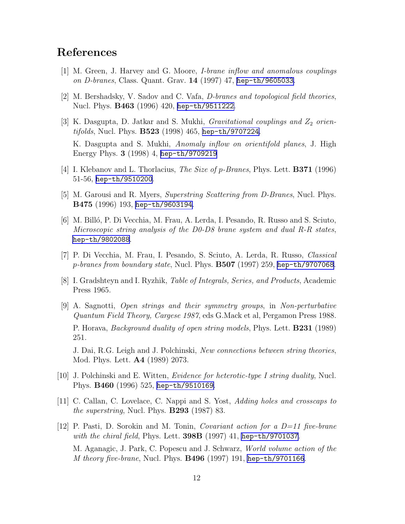## <span id="page-12-0"></span>References

- [1] M. Green, J. Harvey and G. Moore, I-brane inflow and anomalous couplings on D-branes, Class. Quant. Grav. 14 (1997) 47, [hep-th/9605033](http://arxiv.org/abs/hep-th/9605033).
- [2] M. Bershadsky, V. Sadov and C. Vafa, D-branes and topological field theories, Nucl. Phys. B463 (1996) 420, [hep-th/9511222](http://arxiv.org/abs/hep-th/9511222).
- [3] K. Dasgupta, D. Jatkar and S. Mukhi, *Gravitational couplings and*  $Z_2$  orientifolds, Nucl. Phys. B523 (1998) 465, [hep-th/9707224](http://arxiv.org/abs/hep-th/9707224). K. Dasgupta and S. Mukhi, Anomaly inflow on orientifold planes, J. High Energy Phys. 3 (1998) 4, [hep-th/9709219](http://arxiv.org/abs/hep-th/9709219)
- [4] I. Klebanov and L. Thorlacius, The Size of p-Branes, Phys. Lett. B371 (1996) 51-56, [hep-th/9510200](http://arxiv.org/abs/hep-th/9510200).
- [5] M. Garousi and R. Myers, Superstring Scattering from D-Branes, Nucl. Phys. B475 (1996) 193, [hep-th/9603194](http://arxiv.org/abs/hep-th/9603194).
- [6] M. Billó, P. Di Vecchia, M. Frau, A. Lerda, I. Pesando, R. Russo and S. Sciuto, Microscopic string analysis of the D0-D8 brane system and dual R-R states, [hep-th/9802088](http://arxiv.org/abs/hep-th/9802088).
- [7] P. Di Vecchia, M. Frau, I. Pesando, S. Sciuto, A. Lerda, R. Russo, Classical  $p{\text{-}branes from boundary state},$  Nucl. Phys.  $\bf{B507}$  (1997) 259, [hep-th/9707068](http://arxiv.org/abs/hep-th/9707068).
- [8] I. Gradshteyn and I. Ryzhik, Table of Integrals, Series, and Products, Academic Press 1965.
- [9] A. Sagnotti, Open strings and their symmetry groups, in Non-perturbative Quantum Field Theory, Cargese 1987, eds G.Mack et al, Pergamon Press 1988. P. Horava, *Background duality of open string models*, Phys. Lett. **B231** (1989) 251.

J. Dai, R.G. Leigh and J. Polchinski, New connections between string theories, Mod. Phys. Lett. A4 (1989) 2073.

- [10] J. Polchinski and E. Witten, Evidence for heterotic-type I string duality, Nucl. Phys. B460 (1996) 525, [hep-th/9510169](http://arxiv.org/abs/hep-th/9510169).
- [11] C. Callan, C. Lovelace, C. Nappi and S. Yost, Adding holes and crosscaps to the superstring, Nucl. Phys.  $B293$  (1987) 83.
- [12] P. Pasti, D. Sorokin and M. Tonin, *Covariant action for a D=11 five-brane* with the chiral field, Phys. Lett. 398B (1997) 41, [hep-th/9701037](http://arxiv.org/abs/hep-th/9701037). M. Aganagic, J. Park, C. Popescu and J. Schwarz, World volume action of the M theory five-brane, Nucl. Phys. B496 (1997) 191, [hep-th/9701166](http://arxiv.org/abs/hep-th/9701166).